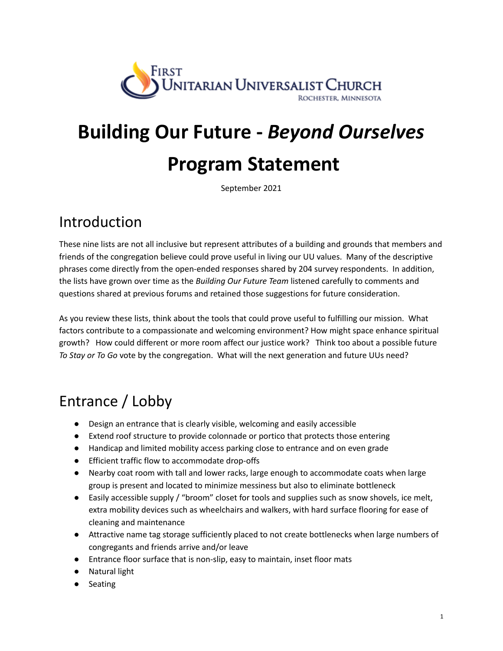

# **Building Our Future -** *Beyond Ourselves* **Program Statement**

September 2021

## Introduction

These nine lists are not all inclusive but represent attributes of a building and grounds that members and friends of the congregation believe could prove useful in living our UU values. Many of the descriptive phrases come directly from the open-ended responses shared by 204 survey respondents. In addition, the lists have grown over time as the *Building Our Future Team* listened carefully to comments and questions shared at previous forums and retained those suggestions for future consideration.

As you review these lists, think about the tools that could prove useful to fulfilling our mission. What factors contribute to a compassionate and welcoming environment? How might space enhance spiritual growth? How could different or more room affect our justice work? Think too about a possible future *To Stay or To Go* vote by the congregation. What will the next generation and future UUs need?

## Entrance / Lobby

- Design an entrance that is clearly visible, welcoming and easily accessible
- Extend roof structure to provide colonnade or portico that protects those entering
- Handicap and limited mobility access parking close to entrance and on even grade
- Efficient traffic flow to accommodate drop-offs
- Nearby coat room with tall and lower racks, large enough to accommodate coats when large group is present and located to minimize messiness but also to eliminate bottleneck
- Easily accessible supply / "broom" closet for tools and supplies such as snow shovels, ice melt, extra mobility devices such as wheelchairs and walkers, with hard surface flooring for ease of cleaning and maintenance
- Attractive name tag storage sufficiently placed to not create bottlenecks when large numbers of congregants and friends arrive and/or leave
- Entrance floor surface that is non-slip, easy to maintain, inset floor mats
- Natural light
- Seating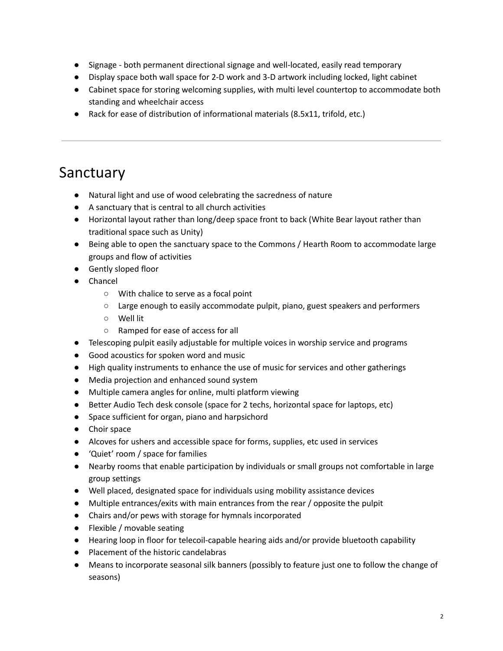- Signage both permanent directional signage and well-located, easily read temporary
- Display space both wall space for 2-D work and 3-D artwork including locked, light cabinet
- Cabinet space for storing welcoming supplies, with multi level countertop to accommodate both standing and wheelchair access
- Rack for ease of distribution of informational materials (8.5x11, trifold, etc.)

### Sanctuary

- Natural light and use of wood celebrating the sacredness of nature
- A sanctuary that is central to all church activities
- Horizontal layout rather than long/deep space front to back (White Bear layout rather than traditional space such as Unity)
- Being able to open the sanctuary space to the Commons / Hearth Room to accommodate large groups and flow of activities
- Gently sloped floor
- Chancel
	- With chalice to serve as a focal point
	- Large enough to easily accommodate pulpit, piano, guest speakers and performers
	- Well lit
	- Ramped for ease of access for all
- Telescoping pulpit easily adjustable for multiple voices in worship service and programs
- Good acoustics for spoken word and music
- High quality instruments to enhance the use of music for services and other gatherings
- Media projection and enhanced sound system
- Multiple camera angles for online, multi platform viewing
- Better Audio Tech desk console (space for 2 techs, horizontal space for laptops, etc)
- Space sufficient for organ, piano and harpsichord
- Choir space
- Alcoves for ushers and accessible space for forms, supplies, etc used in services
- 'Quiet' room / space for families
- Nearby rooms that enable participation by individuals or small groups not comfortable in large group settings
- Well placed, designated space for individuals using mobility assistance devices
- Multiple entrances/exits with main entrances from the rear / opposite the pulpit
- Chairs and/or pews with storage for hymnals incorporated
- Flexible / movable seating
- Hearing loop in floor for telecoil-capable hearing aids and/or provide bluetooth capability
- Placement of the historic candelabras
- Means to incorporate seasonal silk banners (possibly to feature just one to follow the change of seasons)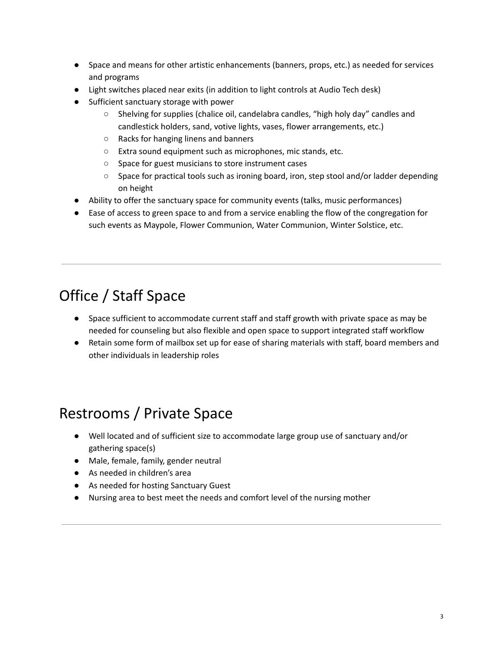- Space and means for other artistic enhancements (banners, props, etc.) as needed for services and programs
- Light switches placed near exits (in addition to light controls at Audio Tech desk)
- Sufficient sanctuary storage with power
	- $\circ$  Shelving for supplies (chalice oil, candelabra candles, "high holy day" candles and candlestick holders, sand, votive lights, vases, flower arrangements, etc.)
	- Racks for hanging linens and banners
	- Extra sound equipment such as microphones, mic stands, etc.
	- Space for guest musicians to store instrument cases
	- Space for practical tools such as ironing board, iron, step stool and/or ladder depending on height
- Ability to offer the sanctuary space for community events (talks, music performances)
- Ease of access to green space to and from a service enabling the flow of the congregation for such events as Maypole, Flower Communion, Water Communion, Winter Solstice, etc.

# Office / Staff Space

- Space sufficient to accommodate current staff and staff growth with private space as may be needed for counseling but also flexible and open space to support integrated staff workflow
- Retain some form of mailbox set up for ease of sharing materials with staff, board members and other individuals in leadership roles

## Restrooms / Private Space

- Well located and of sufficient size to accommodate large group use of sanctuary and/or gathering space(s)
- Male, female, family, gender neutral
- As needed in children's area
- As needed for hosting Sanctuary Guest
- Nursing area to best meet the needs and comfort level of the nursing mother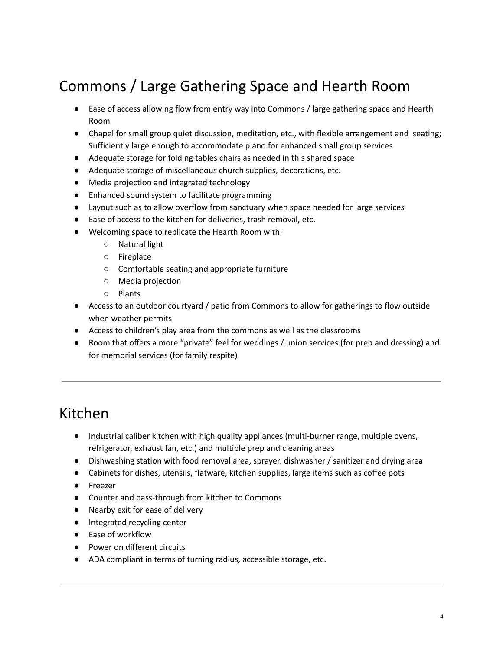# Commons / Large Gathering Space and Hearth Room

- Ease of access allowing flow from entry way into Commons / large gathering space and Hearth Room
- Chapel for small group quiet discussion, meditation, etc., with flexible arrangement and seating; Sufficiently large enough to accommodate piano for enhanced small group services
- Adequate storage for folding tables chairs as needed in this shared space
- Adequate storage of miscellaneous church supplies, decorations, etc.
- Media projection and integrated technology
- Enhanced sound system to facilitate programming
- Layout such as to allow overflow from sanctuary when space needed for large services
- Ease of access to the kitchen for deliveries, trash removal, etc.
- Welcoming space to replicate the Hearth Room with:
	- Natural light
	- Fireplace
	- Comfortable seating and appropriate furniture
	- Media projection
	- Plants
- Access to an outdoor courtyard / patio from Commons to allow for gatherings to flow outside when weather permits
- Access to children's play area from the commons as well as the classrooms
- Room that offers a more "private" feel for weddings / union services (for prep and dressing) and for memorial services (for family respite)

#### Kitchen

- Industrial caliber kitchen with high quality appliances (multi-burner range, multiple ovens, refrigerator, exhaust fan, etc.) and multiple prep and cleaning areas
- Dishwashing station with food removal area, sprayer, dishwasher / sanitizer and drying area
- Cabinets for dishes, utensils, flatware, kitchen supplies, large items such as coffee pots
- Freezer
- Counter and pass-through from kitchen to Commons
- Nearby exit for ease of delivery
- Integrated recycling center
- Ease of workflow
- Power on different circuits
- ADA compliant in terms of turning radius, accessible storage, etc.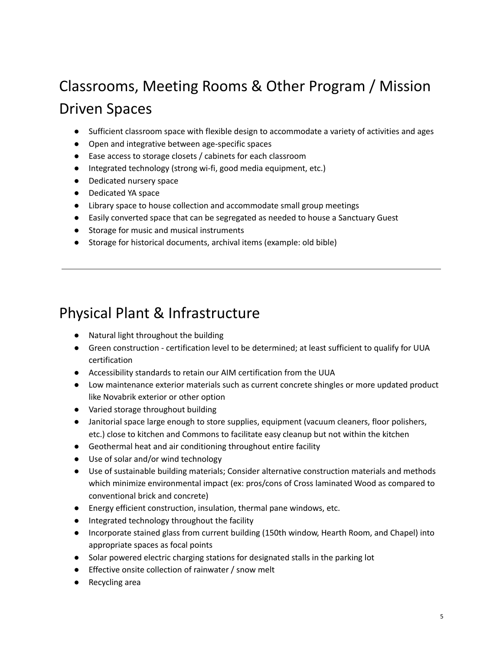# Classrooms, Meeting Rooms & Other Program / Mission Driven Spaces

- Sufficient classroom space with flexible design to accommodate a variety of activities and ages
- Open and integrative between age-specific spaces
- Ease access to storage closets / cabinets for each classroom
- Integrated technology (strong wi-fi, good media equipment, etc.)
- Dedicated nursery space
- Dedicated YA space
- Library space to house collection and accommodate small group meetings
- Easily converted space that can be segregated as needed to house a Sanctuary Guest
- Storage for music and musical instruments
- Storage for historical documents, archival items (example: old bible)

#### Physical Plant & Infrastructure

- Natural light throughout the building
- Green construction certification level to be determined; at least sufficient to qualify for UUA certification
- Accessibility standards to retain our AIM certification from the UUA
- Low maintenance exterior materials such as current concrete shingles or more updated product like Novabrik exterior or other option
- Varied storage throughout building
- Janitorial space large enough to store supplies, equipment (vacuum cleaners, floor polishers, etc.) close to kitchen and Commons to facilitate easy cleanup but not within the kitchen
- Geothermal heat and air conditioning throughout entire facility
- Use of solar and/or wind technology
- Use of sustainable building materials; Consider alternative construction materials and methods which minimize environmental impact (ex: pros/cons of Cross laminated Wood as compared to conventional brick and concrete)
- Energy efficient construction, insulation, thermal pane windows, etc.
- Integrated technology throughout the facility
- Incorporate stained glass from current building (150th window, Hearth Room, and Chapel) into appropriate spaces as focal points
- Solar powered electric charging stations for designated stalls in the parking lot
- Effective onsite collection of rainwater / snow melt
- Recycling area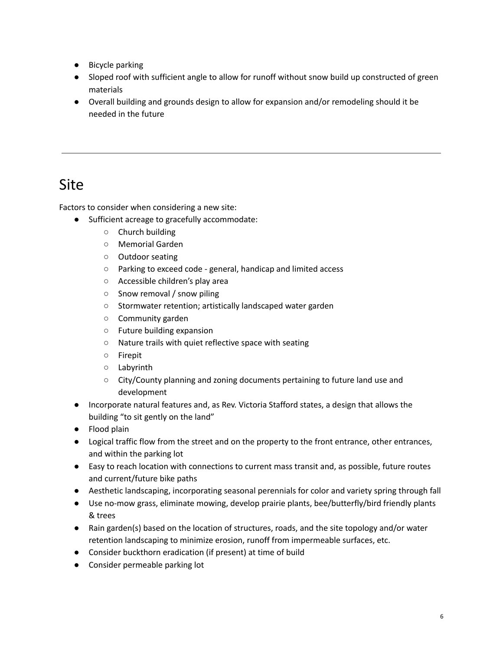- Bicycle parking
- Sloped roof with sufficient angle to allow for runoff without snow build up constructed of green materials
- Overall building and grounds design to allow for expansion and/or remodeling should it be needed in the future

#### Site

Factors to consider when considering a new site:

- Sufficient acreage to gracefully accommodate:
	- Church building
	- Memorial Garden
	- Outdoor seating
	- Parking to exceed code general, handicap and limited access
	- Accessible children's play area
	- Snow removal / snow piling
	- Stormwater retention; artistically landscaped water garden
	- Community garden
	- Future building expansion
	- Nature trails with quiet reflective space with seating
	- Firepit
	- Labyrinth
	- City/County planning and zoning documents pertaining to future land use and development
- Incorporate natural features and, as Rev. Victoria Stafford states, a design that allows the building "to sit gently on the land"
- Flood plain
- Logical traffic flow from the street and on the property to the front entrance, other entrances, and within the parking lot
- Easy to reach location with connections to current mass transit and, as possible, future routes and current/future bike paths
- Aesthetic landscaping, incorporating seasonal perennials for color and variety spring through fall
- Use no-mow grass, eliminate mowing, develop prairie plants, bee/butterfly/bird friendly plants & trees
- Rain garden(s) based on the location of structures, roads, and the site topology and/or water retention landscaping to minimize erosion, runoff from impermeable surfaces, etc.
- Consider buckthorn eradication (if present) at time of build
- Consider permeable parking lot